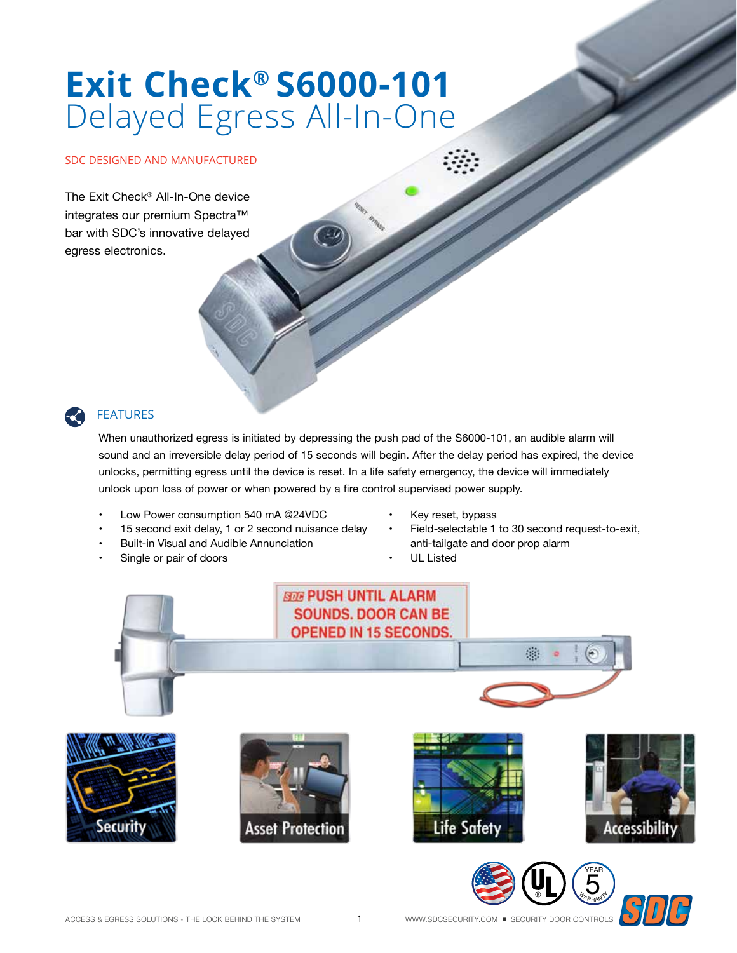# Exit Check® S6000-101 Delayed Egress All-In-One

### SDC DESIGNED AND MANUFACTURED

The Exit Check® All-In-One device integrates our premium Spectra™ bar with SDC's innovative delayed egress electronics.

## **FEATURES**

When unauthorized egress is initiated by depressing the push pad of the S6000-101, an audible alarm will sound and an irreversible delay period of 15 seconds will begin. After the delay period has expired, the device unlocks, permitting egress until the device is reset. In a life safety emergency, the device will immediately unlock upon loss of power or when powered by a fire control supervised power supply.

- Low Power consumption 540 mA @24VDC
- 15 second exit delay, 1 or 2 second nuisance delay
- Built-in Visual and Audible Annunciation
- Single or pair of doors
- Key reset, bypass
- Field-selectable 1 to 30 second request-to-exit, anti-tailgate and door prop alarm
- **UL Listed**

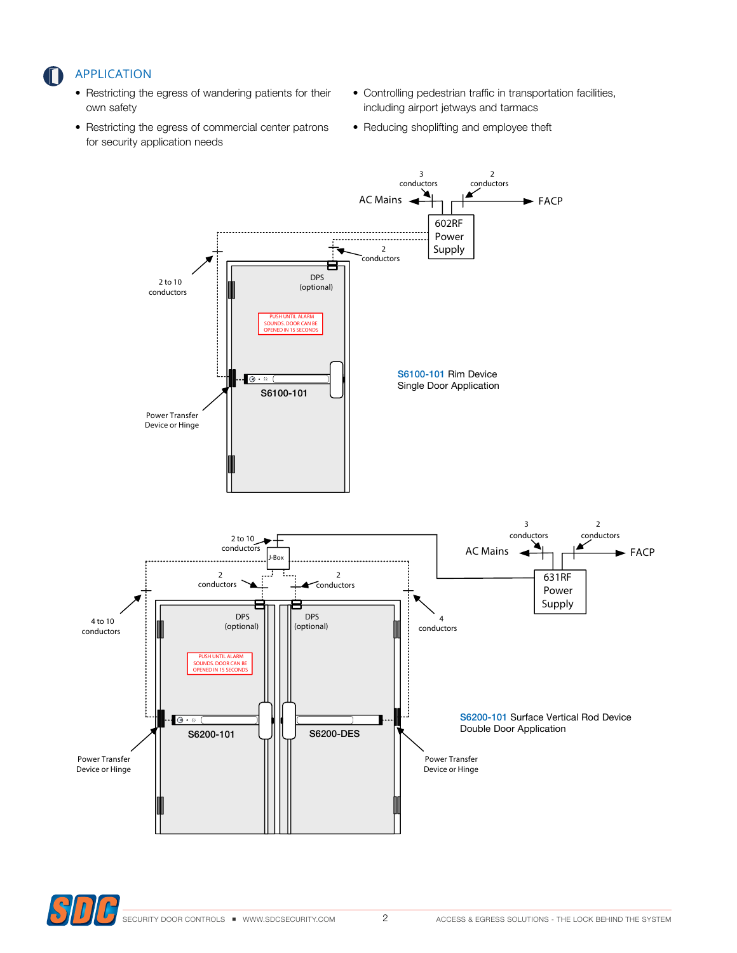## **APPLICATION**

- Restricting the egress of wandering patients for their own safety
- Restricting the egress of commercial center patrons for security application needs
- Controlling pedestrian traffic in transportation facilities, including airport jetways and tarmacs
- Reducing shoplifting and employee theft



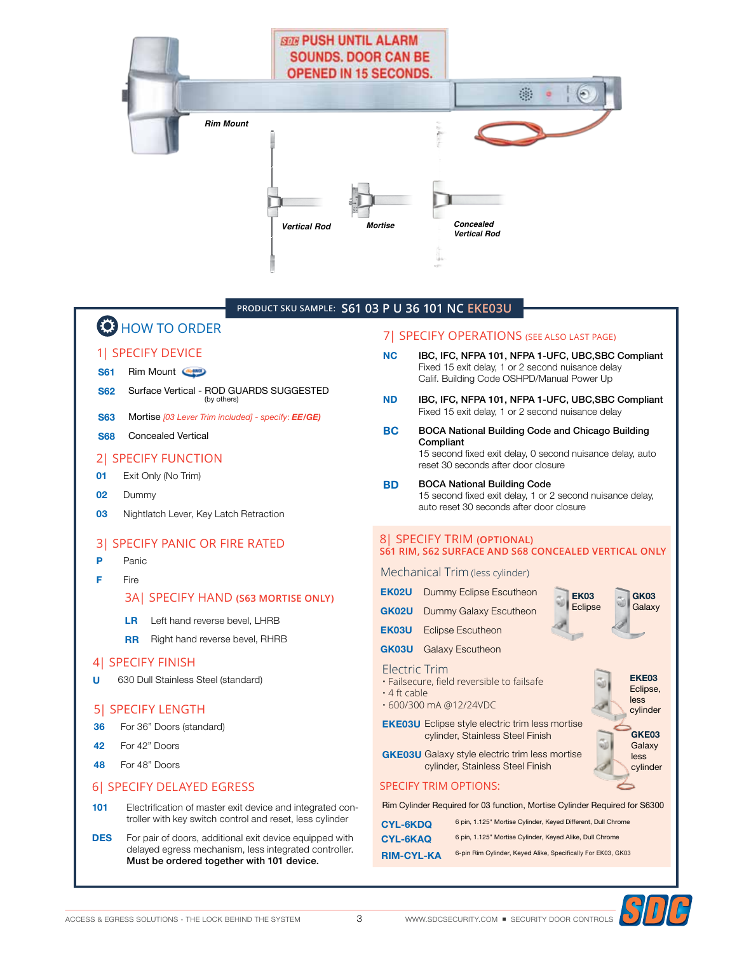

#### PRODUCT SKU SAMPLE: S61 03 P U 36 101 NC EKE03U

# **C** HOW TO ORDER

#### **11 SPECIFY DEVICE**

- **S61** Rim Mount
- Surface Vertical ROD GUARDS SUGGESTED **S62** (by others)
- **S63** Mortise [03 Lever Trim included] - specify: EE/GE)
- **S68 Concealed Vertical**

#### **21 SPECIFY FUNCTION**

- 01 Exit Only (No Trim)
- 02 Dummy
- 03 Nightlatch Lever, Key Latch Retraction

#### **31 SPECIFY PANIC OR FIRE RATED**

- Þ Panic
- F Fire

#### **3AI SPECIFY HAND (S63 MORTISE ONLY)**

- **LR** Left hand reverse bevel. LHRB
- **RR** Right hand reverse bevel, RHRB

#### 4 SPECIFY FINISH

Ù 630 Dull Stainless Steel (standard)

#### 5| SPECIFY LENGTH

- For 36" Doors (standard) 36
- 42 For 42" Doors
- For 48" Doors 48

#### 6| SPECIFY DELAYED EGRESS

- 101 Electrification of master exit device and integrated controller with key switch control and reset, less cylinder
- **DES** For pair of doors, additional exit device equipped with delayed egress mechanism, less integrated controller. Must be ordered together with 101 device.

#### 7 | SPECIFY OPERATIONS (SEE ALSO LAST PAGE)

- **NC** IBC, IFC, NFPA 101, NFPA 1-UFC, UBC, SBC Compliant Fixed 15 exit delay, 1 or 2 second nuisance delay Calif. Building Code OSHPD/Manual Power Up
- **ND** IBC, IFC, NFPA 101, NFPA 1-UFC, UBC, SBC Compliant Fixed 15 exit delay, 1 or 2 second nuisance delay
- **BC BOCA National Building Code and Chicago Building** Compliant 15 second fixed exit delay, 0 second nuisance delay, auto reset 30 seconds after door closure
- **BOCA National Building Code BD** 15 second fixed exit delay, 1 or 2 second nuisance delay, auto reset 30 seconds after door closure

#### **8| SPECIFY TRIM (OPTIONAL)** S61 RIM, S62 SURFACE AND S68 CONCEALED VERTICAL ONLY

**EK03** 

Eclipse

Mechanical Trim (less cylinder)

- **EK02U** Dummy Eclipse Escutheon **GK02U** Dummy Galaxy Escutheon
- **EK03U** Eclipse Escutheon
- **GK03U** Galaxy Escutheon

#### **Electric Trim**

- · Failsecure, field reversible to failsafe
- $\cdot$  4 ft cable • 600/300 mA @12/24VDC
- **EKE03U** Eclipse style electric trim less mortise cylinder, Stainless Steel Finish



**GK03** 

**EKE03** 

Galaxy

**GKE03U** Galaxy style electric trim less mortise cylinder, Stainless Steel Finish

#### **SPECIFY TRIM OPTIONS:**

Rim Cylinder Required for 03 function, Mortise Cylinder Required for S6300

| <b>CYL-6KDQ</b>   | 6 pin. 1.125" Mortise Cylinder, Keved Different, Dull Chrome |
|-------------------|--------------------------------------------------------------|
| CYL-6KAQ          | 6 pin. 1.125" Mortise Cylinder, Keved Alike, Dull Chrome     |
| <b>RIM-CYL-KA</b> | 6-pin Rim Cylinder, Keyed Alike, Specifically For EK03, GK03 |

WWW.SDCSECURITY.COM · SECURITY DOOR CONTROLS